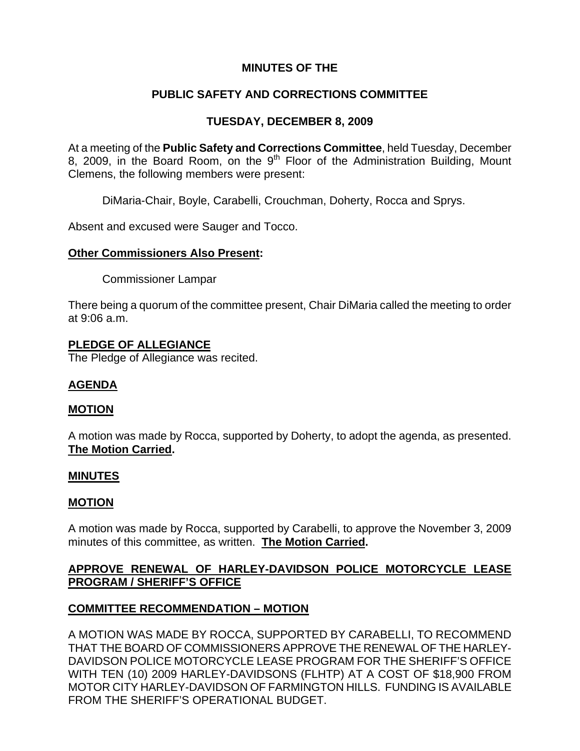# **MINUTES OF THE**

## **PUBLIC SAFETY AND CORRECTIONS COMMITTEE**

## **TUESDAY, DECEMBER 8, 2009**

At a meeting of the **Public Safety and Corrections Committee**, held Tuesday, December 8, 2009, in the Board Room, on the  $9<sup>th</sup>$  Floor of the Administration Building, Mount Clemens, the following members were present:

DiMaria-Chair, Boyle, Carabelli, Crouchman, Doherty, Rocca and Sprys.

Absent and excused were Sauger and Tocco.

### **Other Commissioners Also Present:**

Commissioner Lampar

There being a quorum of the committee present, Chair DiMaria called the meeting to order at 9:06 a.m.

### **PLEDGE OF ALLEGIANCE**

The Pledge of Allegiance was recited.

## **AGENDA**

#### **MOTION**

A motion was made by Rocca, supported by Doherty, to adopt the agenda, as presented. **The Motion Carried.** 

#### **MINUTES**

#### **MOTION**

A motion was made by Rocca, supported by Carabelli, to approve the November 3, 2009 minutes of this committee, as written. **The Motion Carried.** 

# **APPROVE RENEWAL OF HARLEY-DAVIDSON POLICE MOTORCYCLE LEASE PROGRAM / SHERIFF'S OFFICE**

## **COMMITTEE RECOMMENDATION – MOTION**

A MOTION WAS MADE BY ROCCA, SUPPORTED BY CARABELLI, TO RECOMMEND THAT THE BOARD OF COMMISSIONERS APPROVE THE RENEWAL OF THE HARLEY-DAVIDSON POLICE MOTORCYCLE LEASE PROGRAM FOR THE SHERIFF'S OFFICE WITH TEN (10) 2009 HARLEY-DAVIDSONS (FLHTP) AT A COST OF \$18,900 FROM MOTOR CITY HARLEY-DAVIDSON OF FARMINGTON HILLS. FUNDING IS AVAILABLE FROM THE SHERIFF'S OPERATIONAL BUDGET.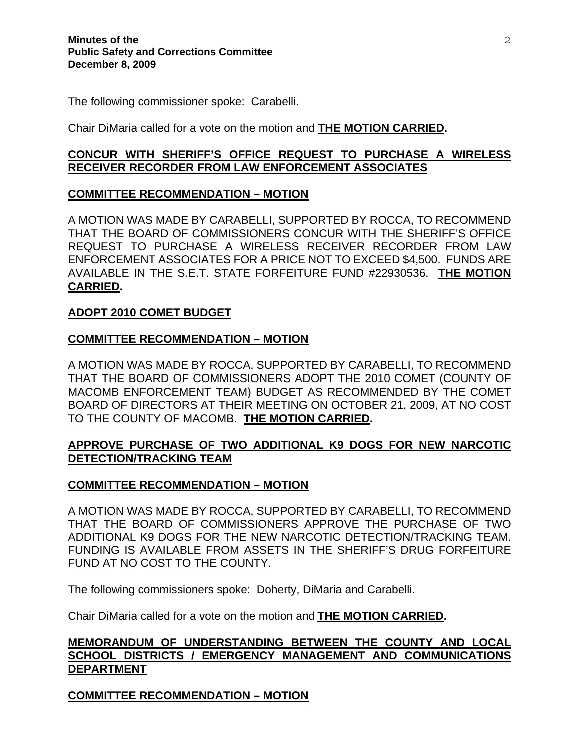The following commissioner spoke: Carabelli.

Chair DiMaria called for a vote on the motion and **THE MOTION CARRIED.** 

### **CONCUR WITH SHERIFF'S OFFICE REQUEST TO PURCHASE A WIRELESS RECEIVER RECORDER FROM LAW ENFORCEMENT ASSOCIATES**

## **COMMITTEE RECOMMENDATION – MOTION**

A MOTION WAS MADE BY CARABELLI, SUPPORTED BY ROCCA, TO RECOMMEND THAT THE BOARD OF COMMISSIONERS CONCUR WITH THE SHERIFF'S OFFICE REQUEST TO PURCHASE A WIRELESS RECEIVER RECORDER FROM LAW ENFORCEMENT ASSOCIATES FOR A PRICE NOT TO EXCEED \$4,500. FUNDS ARE AVAILABLE IN THE S.E.T. STATE FORFEITURE FUND #22930536. **THE MOTION CARRIED.** 

### **ADOPT 2010 COMET BUDGET**

### **COMMITTEE RECOMMENDATION – MOTION**

A MOTION WAS MADE BY ROCCA, SUPPORTED BY CARABELLI, TO RECOMMEND THAT THE BOARD OF COMMISSIONERS ADOPT THE 2010 COMET (COUNTY OF MACOMB ENFORCEMENT TEAM) BUDGET AS RECOMMENDED BY THE COMET BOARD OF DIRECTORS AT THEIR MEETING ON OCTOBER 21, 2009, AT NO COST TO THE COUNTY OF MACOMB. **THE MOTION CARRIED.** 

# **APPROVE PURCHASE OF TWO ADDITIONAL K9 DOGS FOR NEW NARCOTIC DETECTION/TRACKING TEAM**

#### **COMMITTEE RECOMMENDATION – MOTION**

A MOTION WAS MADE BY ROCCA, SUPPORTED BY CARABELLI, TO RECOMMEND THAT THE BOARD OF COMMISSIONERS APPROVE THE PURCHASE OF TWO ADDITIONAL K9 DOGS FOR THE NEW NARCOTIC DETECTION/TRACKING TEAM. FUNDING IS AVAILABLE FROM ASSETS IN THE SHERIFF'S DRUG FORFEITURE FUND AT NO COST TO THE COUNTY.

The following commissioners spoke: Doherty, DiMaria and Carabelli.

Chair DiMaria called for a vote on the motion and **THE MOTION CARRIED.** 

## **MEMORANDUM OF UNDERSTANDING BETWEEN THE COUNTY AND LOCAL SCHOOL DISTRICTS / EMERGENCY MANAGEMENT AND COMMUNICATIONS DEPARTMENT**

**COMMITTEE RECOMMENDATION – MOTION**